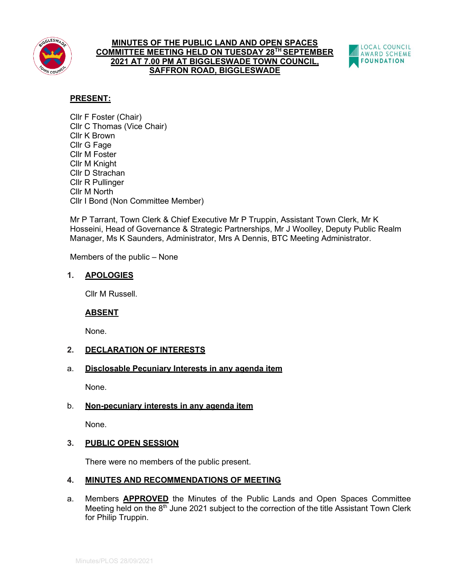

### **MINUTES OF THE PUBLIC LAND AND OPEN SPACES COMMITTEE MEETING HELD ON TUESDAY 28TH SEPTEMBER 2021 AT 7.00 PM AT BIGGLESWADE TOWN COUNCIL, SAFFRON ROAD, BIGGLESWADE**



# **PRESENT:**

Cllr F Foster (Chair) Cllr C Thomas (Vice Chair) Cllr K Brown Cllr G Fage Cllr M Foster Cllr M Knight Cllr D Strachan Cllr R Pullinger Cllr M North Cllr I Bond (Non Committee Member)

Mr P Tarrant, Town Clerk & Chief Executive Mr P Truppin, Assistant Town Clerk, Mr K Hosseini, Head of Governance & Strategic Partnerships, Mr J Woolley, Deputy Public Realm Manager, Ms K Saunders, Administrator, Mrs A Dennis, BTC Meeting Administrator.

Members of the public – None

# **1. APOLOGIES**

Cllr M Russell.

# **ABSENT**

None.

# **2. DECLARATION OF INTERESTS**

## a. **Disclosable Pecuniary Interests in any agenda item**

None.

# b. **Non-pecuniary interests in any agenda item**

None.

# **3. PUBLIC OPEN SESSION**

There were no members of the public present.

# **4. MINUTES AND RECOMMENDATIONS OF MEETING**

a. Members **APPROVED** the Minutes of the Public Lands and Open Spaces Committee Meeting held on the  $8<sup>th</sup>$  June 2021 subject to the correction of the title Assistant Town Clerk for Philip Truppin.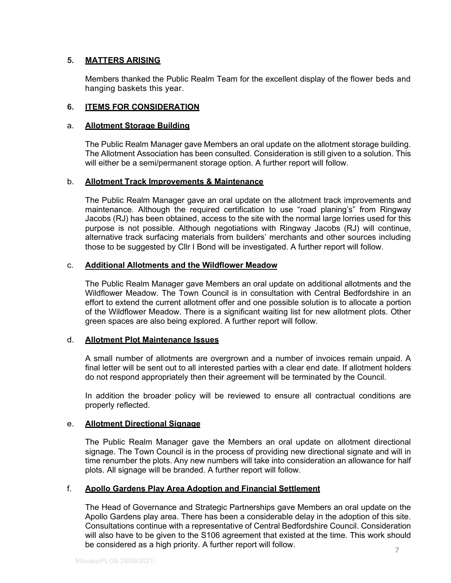# **5. MATTERS ARISING**

Members thanked the Public Realm Team for the excellent display of the flower beds and hanging baskets this year.

## **6. ITEMS FOR CONSIDERATION**

### a. **Allotment Storage Building**

The Public Realm Manager gave Members an oral update on the allotment storage building. The Allotment Association has been consulted. Consideration is still given to a solution. This will either be a semi/permanent storage option. A further report will follow.

## b. **Allotment Track Improvements & Maintenance**

The Public Realm Manager gave an oral update on the allotment track improvements and maintenance. Although the required certification to use "road planing's" from Ringway Jacobs (RJ) has been obtained, access to the site with the normal large lorries used for this purpose is not possible. Although negotiations with Ringway Jacobs (RJ) will continue, alternative track surfacing materials from builders' merchants and other sources including those to be suggested by Cllr I Bond will be investigated. A further report will follow.

### c. **Additional Allotments and the Wildflower Meadow**

The Public Realm Manager gave Members an oral update on additional allotments and the Wildflower Meadow. The Town Council is in consultation with Central Bedfordshire in an effort to extend the current allotment offer and one possible solution is to allocate a portion of the Wildflower Meadow. There is a significant waiting list for new allotment plots. Other green spaces are also being explored. A further report will follow.

### d. **Allotment Plot Maintenance Issues**

A small number of allotments are overgrown and a number of invoices remain unpaid. A final letter will be sent out to all interested parties with a clear end date. If allotment holders do not respond appropriately then their agreement will be terminated by the Council.

In addition the broader policy will be reviewed to ensure all contractual conditions are properly reflected.

## e. **Allotment Directional Signage**

The Public Realm Manager gave the Members an oral update on allotment directional signage. The Town Council is in the process of providing new directional signate and will in time renumber the plots. Any new numbers will take into consideration an allowance for half plots. All signage will be branded. A further report will follow.

### f. **Apollo Gardens Play Area Adoption and Financial Settlement**

The Head of Governance and Strategic Partnerships gave Members an oral update on the Apollo Gardens play area. There has been a considerable delay in the adoption of this site. Consultations continue with a representative of Central Bedfordshire Council. Consideration will also have to be given to the S106 agreement that existed at the time. This work should be considered as a high priority. A further report will follow.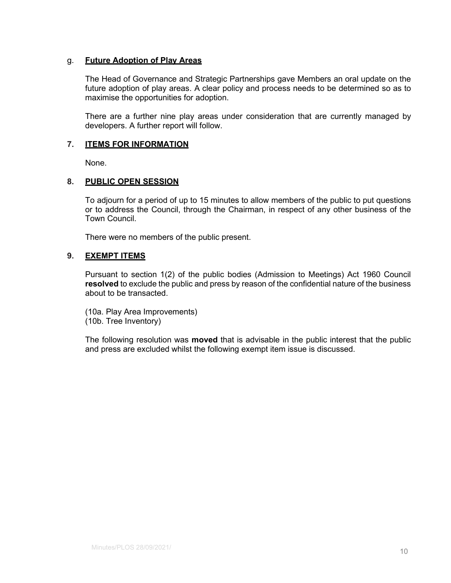## g. **Future Adoption of Play Areas**

The Head of Governance and Strategic Partnerships gave Members an oral update on the future adoption of play areas. A clear policy and process needs to be determined so as to maximise the opportunities for adoption.

There are a further nine play areas under consideration that are currently managed by developers. A further report will follow.

### **7. ITEMS FOR INFORMATION**

None.

### **8. PUBLIC OPEN SESSION**

To adjourn for a period of up to 15 minutes to allow members of the public to put questions or to address the Council, through the Chairman, in respect of any other business of the Town Council.

There were no members of the public present.

### **9. EXEMPT ITEMS**

Pursuant to section 1(2) of the public bodies (Admission to Meetings) Act 1960 Council **resolved** to exclude the public and press by reason of the confidential nature of the business about to be transacted.

(10a. Play Area Improvements) (10b. Tree Inventory)

The following resolution was **moved** that is advisable in the public interest that the public and press are excluded whilst the following exempt item issue is discussed.